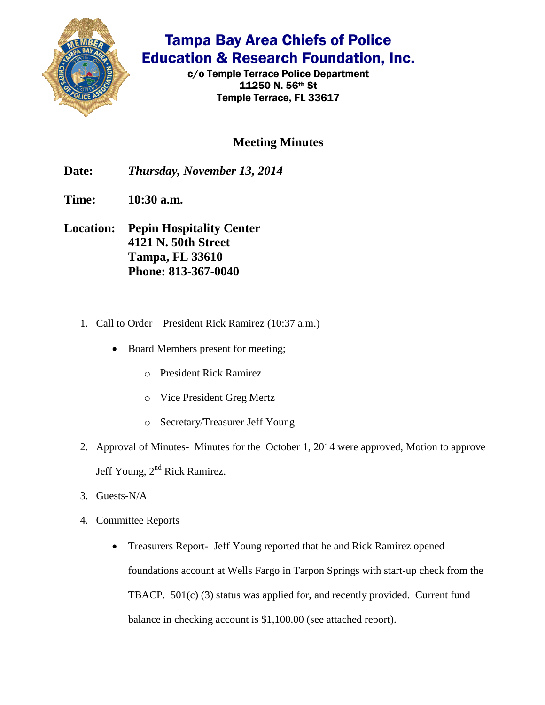

## Tampa Bay Area Chiefs of Police Education & Research Foundation, Inc.

c/o Temple Terrace Police Department 11250 N. 56th St Temple Terrace, FL 33617

## **Meeting Minutes**

**Date:** *Thursday, November 13, 2014*

- **Time: 10:30 a.m.**
- **Location: Pepin Hospitality Center 4121 N. 50th Street Tampa, FL 33610 Phone: 813-367-0040**
	- 1. Call to Order President Rick Ramirez (10:37 a.m.)
		- Board Members present for meeting;
			- o President Rick Ramirez
			- o Vice President Greg Mertz
			- o Secretary/Treasurer Jeff Young
	- 2. Approval of Minutes- Minutes for the October 1, 2014 were approved, Motion to approve Jeff Young, 2<sup>nd</sup> Rick Ramirez.
	- 3. Guests-N/A
	- 4. Committee Reports
		- Treasurers Report- Jeff Young reported that he and Rick Ramirez opened foundations account at Wells Fargo in Tarpon Springs with start-up check from the TBACP. 501(c) (3) status was applied for, and recently provided. Current fund balance in checking account is \$1,100.00 (see attached report).